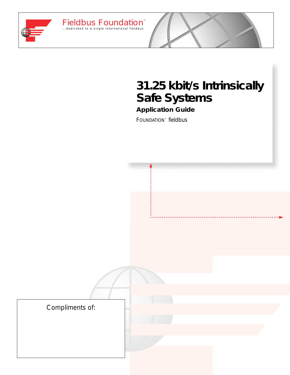

Fieldbus Foundation

# **31.25 kbit/s Intrinsically Safe Systems**

**Application Guide** FOUNDATION™ fieldbus

™

Compliments of: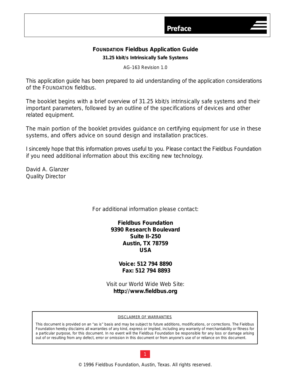# **FOUNDATION Fieldbus Application Guide 31.25 kbit/s Intrinsically Safe Systems**

AG-163 Revision 1.0

This application guide has been prepared to aid understanding of the application considerations of the FOUNDATION fieldbus.

The booklet begins with a brief overview of 31.25 kbit/s intrinsically safe systems and their important parameters, followed by an outline of the specifications of devices and other related equipment.

The main portion of the booklet provides guidance on certifying equipment for use in these systems, and offers advice on sound design and installation practices.

I sincerely hope that this information proves useful to you. Please contact the Fieldbus Foundation if you need additional information about this exciting new technology.

David A. Glanzer Quality Director

For additional information please contact:

**Fieldbus Foundation 9390 Research Boulevard Suite II-250 Austin, TX 78759 USA**

> **Voice: 512 794 8890 Fax: 512 794 8893**

Visit our World Wide Web Site: **http://www.fieldbus.org**

### DISCLAIMER OF WARRANTIES

This document is provided on an "as is" basis and may be subject to future additions, modifications, or corrections. The Fieldbus Foundation hereby disclaims all warranties of any kind, express or implied, including any warranty of merchantability or fitness for a particular purpose, for this document. In no event will the Fieldbus Foundation be responsible for any loss or damage arising out of or resulting from any defect, error or omission in this document or from anyone's use of or reliance on this document.



© 1996 Fieldbus Foundation, Austin, Texas. All rights reserved.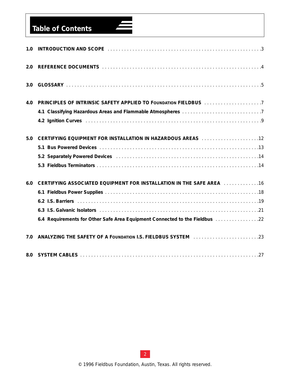# **Table of Contents**

| 1.0 | INTRODUCTION AND SCOPE (1111) (1111) (1111) (1111) (1111) (1111) (1111) (1111) (1111) (1111) (3 |
|-----|-------------------------------------------------------------------------------------------------|
| 2.0 |                                                                                                 |
| 3.0 |                                                                                                 |
| 4.0 | PRINCIPLES OF INTRINSIC SAFETY APPLIED TO FOUNDATION FIELDBUS 7                                 |
|     |                                                                                                 |
|     |                                                                                                 |
| 5.0 |                                                                                                 |
|     |                                                                                                 |
|     | 5.2 Separately Powered Devices Manual Account Account Account Account Account Account 14        |
|     |                                                                                                 |
| 6.0 | <b>CERTIFYING ASSOCIATED EQUIPMENT FOR INSTALLATION IN THE SAFE AREA</b> 16                     |
|     |                                                                                                 |
|     |                                                                                                 |
|     |                                                                                                 |
|     | 6.4 Requirements for Other Safe Area Equipment Connected to the Fieldbus manuscreen 22          |
| 7.0 |                                                                                                 |
| 8.0 |                                                                                                 |

 $\blacksquare$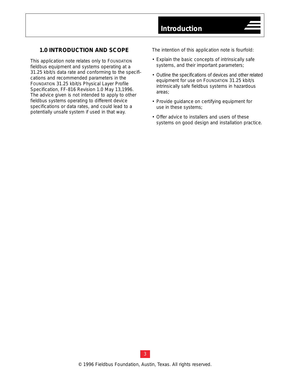### <span id="page-4-0"></span>**1.0 INTRODUCTION AND SCOPE**

This application note relates only to FOUNDATION fieldbus equipment and systems operating at a 31.25 kbit/s data rate and conforming to the specifications and recommended parameters in the FOUNDATION 31.25 kbit/s Physical Layer Profile Specification, FF-816 Revision 1.0 May 13,1996. The advice given is not intended to apply to other fieldbus systems operating to different device specifications or data rates, and could lead to a potentially unsafe system if used in that way.

The intention of this application note is fourfold:

- Explain the basic concepts of intrinsically safe systems, and their important parameters;
- Outline the specifications of devices and other related equipment for use on FOUNDATION 31.25 kbit/s intrinsically safe fieldbus systems in hazardous areas;
- Provide guidance on certifying equipment for use in these systems;
- Offer advice to installers and users of these systems on good design and installation practice.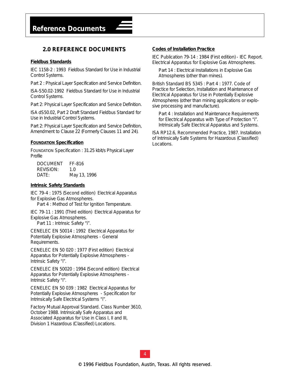## <span id="page-5-0"></span>**2.0 REFERENCE DOCUMENTS**

### **Fieldbus Standards**

IEC 1158-2 : 1993 *Fieldbus Standard for Use in Industrial Control Systems.*

*Part 2 : Physical Layer Specification and Service Definition.*

ISA-S50.02-1992 *Fieldbus Standard for Use in Industrial Control Systems.* 

*Part 2: Physical Layer Specification and Service Definition.*

ISA dS50.02, Part 2 Draft Standard *Fieldbus Standard for Use in Industrial Control Systems*.

*Part 2: Physical Layer Specification and Service Definition, Amendment to Clause 22 (Formerly Clauses 11 and 24).*

### **FOUNDATION Specification**

FOUNDATION Specification : *31.25 kbit/s Physical Layer Profile*

| <i>DOCUMENT</i>  | FF-816       |
|------------------|--------------|
| <i>REVISION:</i> | 10           |
| <i>DATE:</i>     | May 13, 1996 |

### **Intrinsic Safety Standards**

IEC 79-4 : 1975 (Second edition) *Electrical Apparatus for Explosive Gas Atmospheres.*

*Part 4 : Method of Test for Ignition Temperature.*

IEC 79-11 : 1991 (Third edition) *Electrical Apparatus for Explosive Gas Atmospheres. Part 11 : Intrinsic Safety "i".*

CENELEC EN 50014 : 1992 *Electrical Apparatus for Potentially Explosive Atmospheres - General Requirements*.

CENELEC EN 50 020 : 1977 (First edition) *Electrical Apparatus for Potentially Explosive Atmospheres - Intrinsic Safety "i".*

CENELEC EN 50020 : 1994 (Second edition) *Electrical Apparatus for Potentially Explosive Atmospheres - Intrinsic Safety "i".*

CENELEC EN 50 039 : 1982 *Electrical Apparatus for Potentially Explosive Atmospheres - Specification for Intrinsically Safe Electrical Systems "i".*

Factory Mutual Approval Standard. Class Number 3610, October 1988. *Intrinsically Safe Apparatus and Associated Apparatus for Use in Class I, II and III, Division 1 Hazardous (Classified) Locations.*

### **Codes of Installation Practice**

IEC Publication 79-14 : 1984 (First edition) - IEC Report. *Electrical Apparatus for Explosive Gas Atmospheres.* 

*Part 14 : Electrical Installations in Explosive Gas Atmospheres (other than mines).*

British Standard BS 5345 : Part 4 : 1977. *Code of Practice for Selection, Installation and Maintenance of Electrical Apparatus for Use in Potentially Explosive Atmospheres (other than mining applications or explosive processing and manufacture).*

*Part 4 : Installation and Maintenance Requirements for Electrical Apparatus with Type of Protection "i". Intrinsically Safe Electrical Apparatus and Systems.*

ISA RP12.6, Recommended Practice, 1987. *Installation of Intrinsically Safe Systems for Hazardous (Classified) Locations.*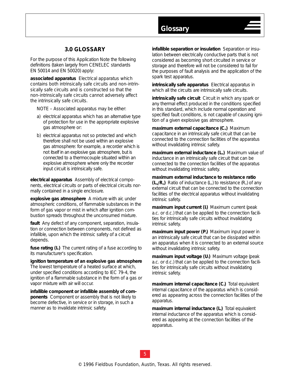# **3.0 GLOSSARY**

<span id="page-6-0"></span>For the purpose of this Application Note the following definitions (taken largely from CENELEC standards EN 50014 and EN 50020) apply:

**associated apparatus** Electrical apparatus which contains both intrinsically safe circuits and non-intrinsically safe circuits and is constructed so that the non-intrinsically safe circuits cannot adversely affect the intrinsically safe circuits.

NOTE – Associated apparatus may be either:

- a) electrical apparatus which has an alternative type of protection for use in the appropriate explosive gas atmosphere or:
- b) electrical apparatus not so protected and which therefore shall not be used within an explosive gas atmosphere: for example, a recorder which is not itself in an explosive gas atmosphere, but is connected to a thermocouple situated within an explosive atmosphere where only the recorder input circuit is intrinsically safe.

**electrical apparatus** Assembly of electrical components, electrical circuits or parts of electrical circuits normally contained in a single enclosure.

**explosive gas atmosphere** A mixture with air, under atmospheric conditions, of flammable substances in the form of gas vapor or mist in which after ignition combustion spreads throughout the unconsumed mixture.

**fault** Any defect of any component, separation, insulation or connection between components, not defined as infallible, upon which the intrinsic safety of a circuit depends.

**fuse rating (***In***)** The current rating of a fuse according to its manufacturer's specification.

**ignition temperature of an explosive gas atmosphere** The lowest temperature of a heated surface at which, under specified conditions according to IEC 79-4, the ignition of a flammable substance in the form of a gas or vapor mixture with air will occur.

**infallible component or infallible assembly of components** Component or assembly that is not likely to become defective, in service or in storage, in such a manner as to invalidate intrinsic safety.

**infallible separation or insulation** Separation or insulation between electrically conductive parts that is not considered as becoming short circuited in service or storage and therefore will not be considered to fail for the purposes of fault analysis and the application of the spark test apparatus.

**Glossary** 

**intrinsically safe apparatus** Electrical apparatus in which all the circuits are intrinsically safe circuits.

**intrinsically safe circuit** Circuit in which any spark or any thermal effect produced in the conditions specified in this standard, which include normal operation and specified fault conditions, is not capable of causing ignition of a given explosive gas atmosphere.

**maximum external capacitance (C<sub>o</sub>) Maximum** capacitance in an intrinsically safe circuit that can be connected to the connection facilities of the apparatus without invalidating intrinsic safety.

**maximum external inductance (***Lo***)** Maximum value of inductance in an intrinsically safe circuit that can be connected to the connection facilities of the apparatus without invalidating intrinsic safety.

**maximum external inductance to resistance ratio (***Lo/Ro***)** Ratio of inductance (*Lo*) to resistance (*Ro*) of any external circuit that can be connected to the connection facilities of the electrical apparatus without invalidating intrinsic safety.

**maximum input current (***Ii***)** Maximum current (peak a.c. or d.c.) that can be applied to the connection facilities for intrinsically safe circuits without invalidating intrinsic safety.

**maximum input power (***Pi***)** Maximum input power in an intrinsically safe circuit that can be dissipated within an apparatus when it is connected to an external source without invalidating intrinsic safety.

**maximum input voltage (***Ui***)** Maximum voltage (peak a.c. or d.c.) that can be applied to the connection facilities for intrinsically safe circuits without invalidating intrinsic safety.

**maximum internal capacitance (***Ci***)** Total equivalent internal capacitance of the apparatus which is considered as appearing across the connection facilities of the apparatus.

**maximum internal inductance (***L***) Total equivalent** internal inductance of the apparatus which is considered as appearing at the connection facilities of the apparatus.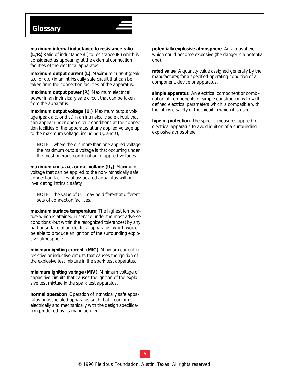**maximum internal inductance to resistance ratio (***Li/Ri***)** Ratio of inductance (*Li*) to resistance (*Ri*) which is considered as appearing at the external connection facilities of the electrical apparatus.

**maximum output current (***Io***)** Maximum current (peak a.c. or d.c.) in an intrinsically safe circuit that can be taken from the connection facilities of the apparatus.

**maximum output power (P)** Maximum electrical power in an intrinsically safe circuit that can be taken from the apparatus.

**maximum output voltage (***Uo***)** Maximum output voltage (peak a.c. or d.c.) in an intrinsically safe circuit that can appear under open circuit conditions at the connection facilities of the apparatus at any applied voltage up to the maximum voltage, including *Um* and *Ui*.

NOTE – where there is more than one applied voltage, the maximum output voltage is that occurring under the most onerous combination of applied voltages.

**maximum r.m.s. a.c. or d.c. voltage (***Um***)** Maximum voltage that can be applied to the non-intrinsically safe connection facilities of associated apparatus without invalidating intrinsic safety.

NOTE – the value of  $U_m$  may be different at different sets of connection facilities.

**maximum surface temperature** The highest temperature which is attained in service under the most adverse conditions (but within the recognized tolerances) by any part or surface of an electrical apparatus, which would be able to produce an ignition of the surrounding explosive atmosphere.

**minimum igniting current (***MIC***)** Minimum current in resistive or inductive circuits that causes the ignition of the explosive test mixture in the spark test apparatus.

**minimum igniting voltage (***MIV***)** Minimum voltage of capacitive circuits that causes the ignition of the explosive test mixture in the spark test apparatus.

**normal operation** Operation of intrinsically safe apparatus or associated apparatus such that it conforms electrically and mechanically with the design specification produced by its manufacturer.

**potentially explosive atmosphere** An atmosphere which could become explosive (the danger is a potential one).

**rated value** A quantity value assigned generally by the manufacturer, for a specified operating condition of a component, device or apparatus.

**simple apparatus** An electrical component or combination of components of simple construction with well defined electrical parameters which is compatible with the intrinsic safety of the circuit in which it is used.

**type of protection** The specific measures applied to electrical apparatus to avoid ignition of a surrounding explosive atmosphere.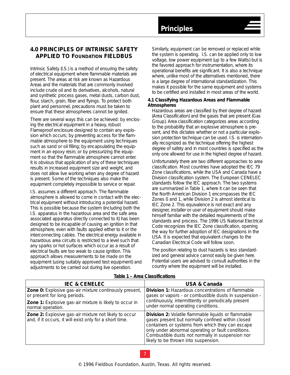# <span id="page-8-0"></span>**4.0 PRINCIPLES OF INTRINSIC SAFETY APPLIED TO FOUNDATION FIELDBUS**

Intrinsic Safety (I.S.) is a method of ensuring the safety of electrical equipment where flammable materials are present. The areas at risk are known as *Hazardous Areas* and the materials that are commonly involved include crude oil and its derivatives, alcohols, natural and synthetic process gases, metal dusts, carbon dust, flour, starch, grain, fiber and flyings. To protect both plant and personnel, precautions must be taken to ensure that these atmospheres cannot be ignited.

There are several ways this can be achieved: by enclosing the electrical equipment in a heavy, robust *Flameproof* enclosure designed to contain any explosion which occurs; by preventing access for the flammable atmosphere to the equipment using techniques such as sand or oil filling; by encapsulating the equipment in an epoxy resin; or by pressurizing the equipment so that the flammable atmosphere cannot enter. It is obvious that application of any of these techniques results in increased equipment size and weight, and does not allow live working when any degree of hazard is present. Some of the techniques also make the equipment completely impossible to service or repair.

I.S. assumes a different approach. The flammable atmosphere is allowed to come in contact with the electrical equipment without introducing a potential hazard. This is possible because the system (including both the *I.S. apparatus* in the hazardous area and the safe area *associated apparatus* directly connected to it) has been designed to be incapable of causing an ignition in that atmosphere, even with faults applied either to it or the interconnecting cables. The electrical energy available in hazardous area circuits is restricted to a level such that any sparks or hot surfaces which occur as a result of electrical faults are too weak to cause ignition. This approach allows measurements to be made on the equipment (using suitably approved test equipment) and adjustments to be carried out during live operation.

Similarly, equipment can be removed or replaced while the system is operating. I.S. can be applied only to low voltage, low power equipment (up to a few Watts) but is the favored approach for instrumentation, where its operational benefits are significant. It is also a technique where, unlike most of the alternatives mentioned, there is a large degree of international standardization. This makes it possible for the same equipment and systems to be certified and installed in most areas of the world.

### *4.1 Classifying Hazardous Areas and Flammable Atmospheres*

Hazardous areas are classified by their degree of hazard *(Area Classification)* and the gases that are present *(Gas Group)*. Area classification categorizes areas according to the probability that an explosive atmosphere is present, and this dictates whether or not a particular explosion protection technique can be used. I.S. is internationally recognized as the technique offering the highest degree of safety and in most countries is specified as the only one allowed for use in the highest degree of hazard.

Unfortunately there are two different approaches to area classification. Most countries have adopted the IEC 79 *Zone* classifications, while the USA and Canada have a *Division* classification system. The European CENELEC standards follow the IEC approach. The two systems are summarized in Table 1, where it can be seen that the North American Division 1 encompasses the IEC Zones 0 and 1, while Division 2 is almost identical to IEC Zone 2. This equivalence is not exact and any designer, installer or user of equipment should make himself familiar with the detailed requirements of the standards and process. The 1996 US National Electrical Code recognizes the IEC Zone classification, opening the way for further adoption of IEC designations in the USA. It is expected that equivalent changes to the Canadian Electrical Code will follow soon.

The position relating to dust hazards is less standardized and general advice cannot easily be given here. Potential users are advised to consult authorities in the country where the equipment will be installed.

| <b>IEC &amp; CENELEC</b>                                                                                         | <b>USA &amp; Canada</b>                                                                                                                                                                                                                                                                                               |  |
|------------------------------------------------------------------------------------------------------------------|-----------------------------------------------------------------------------------------------------------------------------------------------------------------------------------------------------------------------------------------------------------------------------------------------------------------------|--|
| <b>Zone 0:</b> Explosive gas-air mixture continously present,                                                    | <b>Division 1: Hazardous concentrations of flammable</b>                                                                                                                                                                                                                                                              |  |
| or present for long periods.                                                                                     | gases or vapors - or combustible dusts in suspension -                                                                                                                                                                                                                                                                |  |
| Zone 1: Explosive gas-air mixture is likely to occur in                                                          | continuously, intermittently or periodically present                                                                                                                                                                                                                                                                  |  |
| normal operation.                                                                                                | under normal operating conditions.                                                                                                                                                                                                                                                                                    |  |
| Zone 2: Explosive gas-air mixture not likely to occur<br>and, if it occurs, it will exist only for a short time. | <b>Division 2:</b> Volatile flammable liquids or flammable<br>gases present but normally confined within closed<br>containers or systems from which they can escape<br>only under abnormal operating or fault conditions.<br>Combustible dusts not normally in suspension nor<br>likely to be thrown into suspension. |  |

### **Table 1 – Area Classifications**

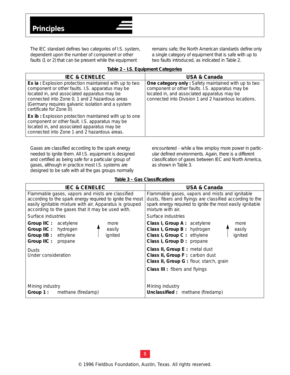The IEC standard defines two categories of I.S. system, dependent upon the number of component or other faults (1 or 2) that can be present while the equipment

remains safe; the North American standards define only a single category of equipment that is safe with up to two faults introduced, as indicated in Table 2.

| <b>IEC &amp; CENELEC</b>                                                                                                                                                                                                                                                                           | <b>USA &amp; Canada</b>                                                                                                                                                                                        |
|----------------------------------------------------------------------------------------------------------------------------------------------------------------------------------------------------------------------------------------------------------------------------------------------------|----------------------------------------------------------------------------------------------------------------------------------------------------------------------------------------------------------------|
| <b>Ex ia:</b> Explosion protection maintained with up to two<br>component or other faults. I.S. apparatus may be<br>located in, and associated apparatus may be<br>connected into Zone 0, 1 and 2 hazardous areas<br>(Germany requires galvanic isolation and a system<br>certificate for Zone 0). | One category only: Safety maintained with up to two<br>component or other faults. I.S. apparatus may be<br>located in, and associated apparatus may be<br>connected into Division 1 and 2 hazardous locations. |
| <b>Ex ib:</b> Explosion protection maintained with up to one<br>component or other fault. I.S. apparatus may be<br>located in, and associated apparatus may be<br>connected into Zone 1 and 2 hazardous areas.                                                                                     |                                                                                                                                                                                                                |

### **Table 2 – I.S. Equipment Categories**

Gases are classified according to the spark energy needed to ignite them. All I.S. equipment is designed and certified as being safe for a particular group of gases, although in practice most I.S. systems are designed to be safe with all the gas groups normally

encountered - while a few employ more power in particular defined environments. Again, there is a different classification of gases between IEC and North America, as shown in Table 3.

| Table 3 – Gas Classifications |
|-------------------------------|
|-------------------------------|

| <b>IEC &amp; CENELEC</b>                                                                                                                                                                                                     | <b>USA &amp; Canada</b>                                                                                                                                                                        |  |  |
|------------------------------------------------------------------------------------------------------------------------------------------------------------------------------------------------------------------------------|------------------------------------------------------------------------------------------------------------------------------------------------------------------------------------------------|--|--|
| Flammable gases, vapors and mists are classified<br>according to the spark energy required to ignite the most<br>easily ignitable mixture with air. Apparatus is grouped<br>according to the gases that it may be used with. | Flammable gases, vapors and mists and ignitable<br>dusts, fibers and flyings are classified according to the<br>spark energy required to ignite the most easily ignitable<br>mixture with air. |  |  |
| Surface industries                                                                                                                                                                                                           | Surface industries                                                                                                                                                                             |  |  |
| <b>Group IIC:</b> acetylene<br>more<br>Group IIC: hydrogen<br>easily<br>Group IIB: ethylene<br>ignited<br>Group IIC:<br>propane                                                                                              | Class I, Group A: acetylene<br>more<br>Class I, Group B: hydrogen<br>easily<br>Class I, Group C: ethylene<br>ignited<br>Class I, Group D: propane                                              |  |  |
| Dusts<br>Under consideration                                                                                                                                                                                                 | Class II, Group E : metal dust<br>Class II, Group F: carbon dust<br>Class II, Group G: flour, starch, grain                                                                                    |  |  |
|                                                                                                                                                                                                                              | <b>Class III</b> : fibers and flyings                                                                                                                                                          |  |  |
| Mining industry<br><b>Group 1:</b> methane (firedamp)                                                                                                                                                                        | Mining industry<br><b>Unclassified</b> : methane (firedamp)                                                                                                                                    |  |  |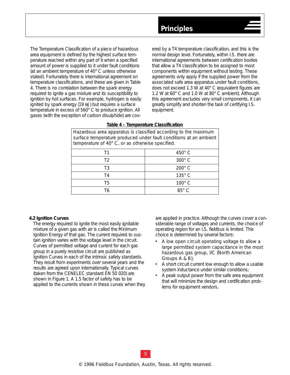<span id="page-10-0"></span>*The Temperature Classification* of a piece of hazardous area equipment is defined by the highest surface temperature reached within any part of it when a specified amount of power is supplied to it under fault conditions (at an ambient temperature of 40° C unless otherwise stated). Fortunately there is international agreement on temperature classifications, and these are given in Table 4. There is no correlation between the spark energy required to ignite a gas mixture and its susceptibility to ignition by hot surfaces. For example, hydrogen is easily ignited by spark energy (19 mJ) but requires a surface temperature in excess of 560° C to produce ignition. All gases (with the exception of carbon disulphide) are covered by a T4 temperature classification, and this is the normal design level. Fortunately, within I.S. there are international agreements between certification bodies that allow a T4 classification to be assigned to most components within equipment without testing. These agreements only apply if the supplied power from the associated safe area apparatus under fault conditions, does not exceed 1.3 W at 40° C (equivalent figures are 1.2 W at 60° C and 1.0 W at 80° C ambient). Although this agreement excludes very small components, it can greatly simplify and shorten the task of certifying I.S. equipment.

| mazarabas arba apparatas is ciassinoa accoraing to the maximum<br>surface temperature produced under fault conditions at an ambient<br>temperature of 40° C, or as otherwise specified. |               |  |  |
|-----------------------------------------------------------------------------------------------------------------------------------------------------------------------------------------|---------------|--|--|
| Т1                                                                                                                                                                                      | $450^\circ$ C |  |  |
| T <sub>2</sub>                                                                                                                                                                          | $300^\circ$ C |  |  |
| T3                                                                                                                                                                                      | $200^\circ$ C |  |  |
| T <sub>4</sub>                                                                                                                                                                          | $135^\circ$ C |  |  |
| T5                                                                                                                                                                                      | $100^\circ$ C |  |  |
| Τ6                                                                                                                                                                                      | $85^\circ$ C  |  |  |

### **Table 4 – Temperature Classification** Hazardous area apparatus is classified according to the maximum

### *4.2 Ignition Curves*

The energy required to ignite the most easily ignitable mixture of a given gas with air is called the *Minimum Ignition Energy* of that gas. The current required to sustain ignition varies with the voltage level in the circuit. Curves of permitted voltage and current for each gas group in a purely resistive circuit are published as *Ignition Curves* in each of the intrinsic safety standards. They result from experiments over several years and the results are agreed upon internationally. Typical curves (taken from the CENELEC standard EN 50 020) are shown in Figure 1. A 1.5 factor of safety has to be applied to the currents shown in these curves when they are applied in practice. Although the curves cover a considerable range of voltages and currents, the choice of operating region for an I.S. fieldbus is limited. This choice is determined by several factors:

- A low open circuit operating voltage to allow a large permitted system capacitance in the most hazardous gas group, IIC (North American Groups A & B);
- A short circuit current low enough to allow a usable system inductance under similar conditions;
- A peak output power from the safe area equipment that will minimize the design and certification problems for equipment vendors.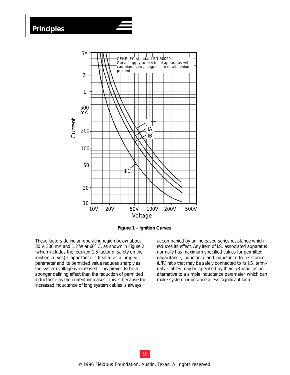**Principles**





These factors define an operating region below about 30 V, 300 mA and 1.2 W at 60° C, as shown in Figure 2 (which includes the required 1.5 factor of safety on the ignition curves). Capacitance is treated as a lumped parameter and its permitted value reduces sharply as the system voltage is increased. This proves to be a stronger defining effect than the reduction of permitted inductance as the current increases. This is because the increased inductance of long system cables is always

accompanied by an increased series resistance which reduces its effect. Any item of I.S. associated apparatus normally has maximum specified values for permitted capacitance, inductance and inductance-to-resistance (L/R) ratio that may be safely connected to its I.S. terminals. Cables may be specified by their L/R ratio, as an alternative to a simple inductance parameter, which can make system inductance a less significant factor.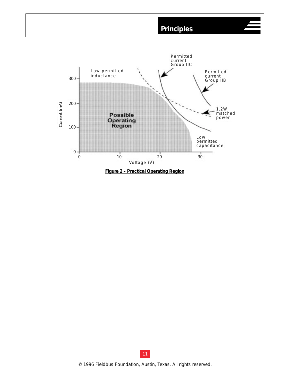

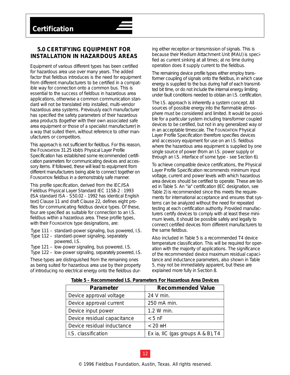# <span id="page-13-0"></span>**5.0 CERTIFYING EQUIPMENT FOR INSTALLATION IN HAZARDOUS AREAS**

Equipment of various different types has been certified for hazardous area use over many years. The added factor that fieldbus introduces is the need for equipment from different manufacturers to be certified in a compatible way for connection onto a common bus. This is essential to the success of fieldbus in hazardous area applications, otherwise a common communication standard will not be translated into installed, multi-vendor hazardous area systems. Previously each manufacturer has specified the safety parameters of their hazardous area products (together with their own associated safe area equipment or those of a specialist manufacturer) in a way that suited them, without reference to other manufacturers or competitors.

This approach is not sufficient for fieldbus. For this reason, the FOUNDATION 31.25 kbit/s Physical Layer Profile Specification has established some recommended certification parameters for communicating devices and accessory items. If followed, these will lead to equipment from different manufacturers being able to connect together on FOUNDATION fieldbus in a demonstrably safe manner.

This profile specification, derived from the IEC/ISA Fieldbus Physical Layer Standard IEC 1158-2 : 1993 (ISA standard ISA - S50.02 - 1992 has identical English text) Clause 11 and draft Clause 22, defines eight profiles for communicating fieldbus device types. Of these, four are specified as suitable for connection to an I.S. fieldbus within a hazardous area. These profile types, with their FOUNDATION type designations, are:

*Type 111* – standard-power signaling, bus powered, I.S. *Type 112* – standard-power signaling, separately powered, I.S.

*Type 121* – low-power signaling, bus powered, I.S. *Type 122* – low-power signaling, separately powered, I.S.

These types are distinguished from the remaining ones as being suited for hazardous area use by their property of introducing no electrical energy onto the fieldbus dur-

ing either reception or transmission of signals. This is because their *Medium Attachment Unit (MAU)* is specified as current sinking at all times; at no time during operation does it supply current to the fieldbus.

The remaining device profile types either employ transformer coupling of signals onto the fieldbus, in which case energy is supplied to the bus during half of each transmitted bit time, or do not include the internal energy limiting under fault conditions needed to obtain an I.S. certification.

The I.S. approach is inherently a system concept. All sources of possible energy into the flammable atmosphere must be considered and limited. It would be possible for a particular system including transformer coupled devices to be certified, but not in any generalized way or in an acceptable timescale. The FOUNDATION Physical Layer Profile Specification therefore specifies devices and accessory equipment for use on an I.S. fieldbus where the hazardous area equipment is supplied by one single source of power (from an I.S. power supply or through an I.S. interface of some type - see Section 6).

To achieve compatible device certifications, the Physical Layer Profile Specification recommends minimum input voltage, current and power levels with which hazardous area devices should be certified to operate. These are listed in Table 5. An *"ia"* certification (IEC designation, see Table 2) is recommended since this meets the requirements for international acceptance and ensures that systems can be analyzed without the need for repeated testing at each certification authority. Provided manufacturers certify devices to comply with at least these minimum levels, it should be possible safely and legally to connect certified devices from different manufacturers to the same fieldbus.

Also included in Table 5 is a recommended T4 device temperature classification. This will be required for operation with the majority of applications. The significance of the recommended device maximum residual capacitance and inductance parameters, also shown in Table 5, may not be immediately apparent, but these are explained more fully in Section 8.

| Parameter                   | <b>Recommended Value</b>          |  |
|-----------------------------|-----------------------------------|--|
| Device approval voltage     | 24 V min.                         |  |
| Device approval current     | 250 mA min.                       |  |
| Device input power          | 1.2 W min.                        |  |
| Device residual capacitance | $< 5$ nF                          |  |
| Device residual inductance  | $< 20$ mH                         |  |
| I.S. classification         | Ex ia, IIC (gas groups A & B), T4 |  |

**Table 5 – Recommended I.S. Parameters For Hazardous Area Devices**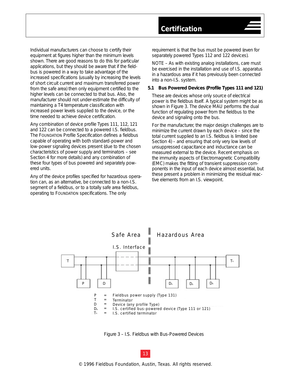<span id="page-14-0"></span>Individual manufacturers can choose to certify their equipment at figures higher than the minimum levels shown. There are good reasons to do this for particular applications, but they should be aware that if the fieldbus is powered in a way to take advantage of the increased specifications (usually by increasing the levels of short circuit current and maximum transferred power from the safe area) then only equipment certified to the higher levels can be connected to that bus. Also, the manufacturer should not under-estimate the difficulty of maintaining a T4 temperature classification with increased power levels supplied to the device, or the time needed to achieve device certification.

Any combination of device profile *Types 111, 112, 121* and *122* can be connected to a powered I.S. fieldbus. The FOUNDATION Profile Specification defines a fieldbus capable of operating with both standard-power and low-power signaling devices present (due to the chosen characteristics of power supply and terminators – see Section 4 for more details) and any combination of these four types of bus powered and separately powered units.

Any of the device profiles specified for hazardous operation can, as an alternative, be connected to a non-I.S. segment of a fieldbus, or to a totally safe area fieldbus, operating to FOUNDATION specifications. The only

requirement is that the bus must be powered (even for separately powered Types 112 and 122 devices).

NOTE – As with existing analog installations, care must be exercised in the installation and use of I.S. apparatus in a hazardous area if it has previously been connected into a non-I.S. system.

### *5.1 Bus Powered Devices (Profile Types 111 and 121)*

These are devices whose only source of electrical power is the fieldbus itself. A typical system might be as shown in Figure 3. The device MAU performs the dual function of regulating power from the fieldbus to the device and signaling onto the bus.

For the manufacturer, the major design challenges are to minimize the current drawn by each device – since the total current supplied to an I.S. fieldbus is limited (see Section 4) – and ensuring that only very low levels of unsuppressed capacitance and inductance can be measured external to the device. Recent emphasis on the immunity aspects of Electromagnetic Compatibility (EMC) makes the fitting of transient suppression components in the input of each device almost essential, but these present a problem in minimizing the residual reactive elements from an I.S. viewpoint.



Figure 3 – I.S. Fieldbus with Bus-Powered Devices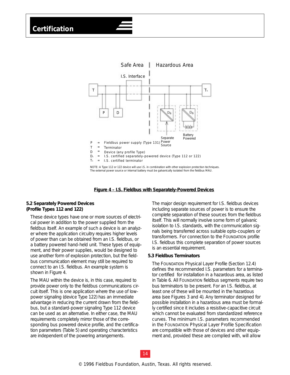<span id="page-15-0"></span>

NOTE: A Type 112 or 122 device will use I.S. in combination with other explosion protection techniques. The external power source or internal battery must be galvanically isolated from the fieldbus MAU.

### **Figure 4 – I.S. Fieldbus with Separately-Powered Devices**

### *5.2 Separately Powered Devices (Profile Types 112 and 122)*

These device types have one or more sources of electrical power in addition to the power supplied from the fieldbus itself. An example of such a device is an analyzer where the application circuitry requires higher levels of power than can be obtained from an I.S. fieldbus, or a battery powered hand-held unit. These types of equipment, and their power supplies, would be designed to use another form of explosion protection, but the fieldbus communication element may still be required to connect to an I.S. fieldbus. An example system is shown in Figure 4.

The MAU within the device is, in this case, required to provide power only to the fieldbus communications circuit itself. This is one application where the use of lowpower signaling (device *Type 122*) has an immediate advantage in reducing the current drawn from the fieldbus, but a standard-power signaling *Type 112* device can be used as an alternative. In either case, the MAU requirements completely mirror those of the corresponding bus powered device profile, and the certification parameters (Table 5) and operating characteristics are independent of the powering arrangements.

The major design requirement for I.S. fieldbus devices including separate sources of power is to ensure the complete separation of these sources from the fieldbus itself. This will normally involve some form of galvanic isolation to I.S. standards, with the communication signals being transferred across suitable opto-couplers or transformers. For connection to the FOUNDATION profile I.S. fieldbus this complete separation of power sources is an essential requirement.

### *5.3 Fieldbus Terminators*

The FOUNDATION Physical Layer Profile (Section 12.4) defines the recommended I.S. parameters for a terminator certified for installation in a hazardous area, as listed in Table 6. All FOUNDATION fieldbus segments require two bus terminators to be present. For an I.S. fieldbus, at least one of these will be mounted in the hazardous area (see Figures 3 and 4). Any terminator designed for possible installation in a hazardous area must be formally certified since it includes a resistive-capacitive circuit which cannot be evaluated from standardized reference curves. The minimum I.S. parameters recommended in the FOUNDATION Physical Layer Profile Specification are compatible with those of devices and other equipment and, provided these are complied with, will allow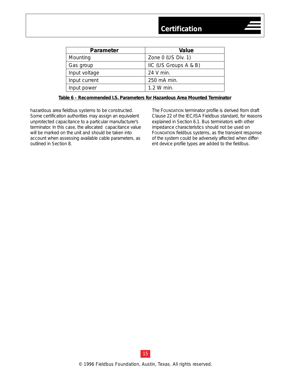| <b>Parameter</b> | Value                 |  |
|------------------|-----------------------|--|
| Mounting         | Zone 0 (US Div. 1)    |  |
| Gas group        | IIC (US Groups A & B) |  |
| Input voltage    | 24 V min.             |  |
| Input current    | 250 mA min.           |  |
| Input power      | 1.2 W min.            |  |
|                  |                       |  |

### **Table 6 – Recommended I.S. Parameters for Hazardous Area Mounted Terminator**

hazardous area fieldbus systems to be constructed. Some certification authorities may assign an equivalent unprotected capacitance to a particular manufacturer's terminator. In this case, the allocated capacitance value will be marked on the unit and should be taken into account when assessing available cable parameters, as outlined in Section 8.

The FOUNDATION terminator profile is derived from draft Clause 22 of the IEC/ISA Fieldbus standard, for reasons explained in Section 6.1. Bus terminators with other impedance characteristics should not be used on FOUNDATION fieldbus systems, as the transient response of the system could be adversely affected when different device profile types are added to the fieldbus.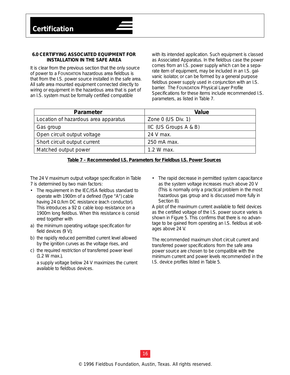### <span id="page-17-0"></span>**6.0 CERTIFYING ASSOCIATED EQUIPMENT FOR INSTALLATION IN THE SAFE AREA**

It is clear from the previous section that the only source of power to a FOUNDATION hazardous area fieldbus is that from the I.S. power source installed in the safe area. All safe area mounted equipment connected directly to wiring or equipment in the hazardous area that is part of an I.S. system must be formally certified compatible

with its intended application. Such equipment is classed as *Associated Apparatus*. In the fieldbus case the power comes from an I.S. power supply which can be a separate item of equipment, may be included in an I.S. galvanic isolator, or can be formed by a general purpose fieldbus power supply used in conjunction with an I.S. barrier. The FOUNDATION Physical Layer Profile Specifications for these items include recommended I.S. parameters, as listed in Table 7.

| <b>Parameter</b>                     | Value                 |
|--------------------------------------|-----------------------|
| Location of hazardous area apparatus | Zone $0$ (US Div. 1)  |
| Gas group                            | IIC (US Groups A & B) |
| Open circuit output voltage          | 24 V max.             |
| Short circuit output current         | 250 mA max.           |
| Matched output power                 | $1.2 W$ max.          |

|--|

The 24 V maximum output voltage specification in Table 7 is determined by two main factors:

- The requirement in the IEC/ISA fieldbus standard to operate with 1900m of a defined (Type "A") cable having 24 /km DC resistance (each conductor). This introduces a 92 cable loop resistance on a 1900m long fieldbus. When this resistance is consid ered together with
- a) the minimum operating voltage specification for field devices (9 V);
- b) the rapidly reduced permitted current level allowed by the ignition curves as the voltage rises, and
- c) the required restriction of transferred power level (1.2 W max.),

a supply voltage below 24 V maximizes the current available to fieldbus devices.

• The rapid decrease in permitted system capacitance as the system voltage increases much above 20 V (This is normally only a practical problem in the most hazardous gas group and is discussed more fully in Section 8).

A plot of the maximum current available to field devices as the certified voltage of the I.S. power source varies is shown in Figure 5. This confirms that there is no advantage to be gained from operating an I.S. fieldbus at voltages above 24 V.

The recommended maximum short circuit current and transferred power specifications from the safe area power source are chosen to be compatible with the minimum current and power levels recommended in the I.S. device profiles listed in Table 5.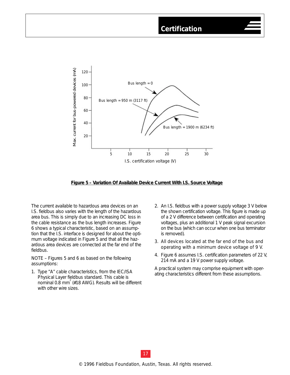

### **Figure 5 – Variation Of Available Device Current With I.S. Source Voltage**

The current available to hazardous area devices on an I.S. fieldbus also varies with the length of the hazardous area bus. This is simply due to an increasing DC loss in the cable resistance as the bus length increases. Figure 6 shows a typical characteristic, based on an assumption that the I.S. interface is designed for about the optimum voltage indicated in Figure 5 and that all the hazardous area devices are connected at the far end of the fieldbus.

NOTE – Figures 5 and 6 as based on the following assumptions:

- 1. Type "A" cable characteristics, from the IEC/ISA Physical Layer fieldbus standard. This cable is nominal 0.8 mm<sup>2</sup> (#18 AWG). Results will be different with other wire sizes.
- 2. An I.S. fieldbus with a power supply voltage 3 V below the shown certification voltage. This figure is made up of a 2 V difference between certification and operating voltages, plus an additional 1 V peak signal excursion on the bus (which can occur when one bus terminator is removed).
- 3. All devices located at the far end of the bus and operating with a minimum device voltage of 9 V.
- 4. Figure 6 assumes I.S. certification parameters of 22 V, 214 mA and a 19 V power supply voltage.

A practical system may comprise equipment with operating characteristics different from these assumptions.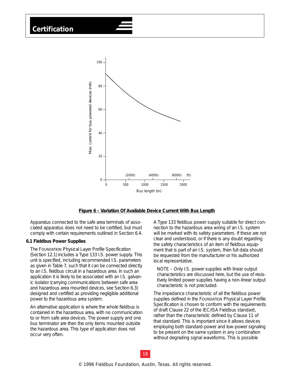# <span id="page-19-0"></span>**Certification**



### **Figure 6 – Variation Of Available Device Current With Bus Length**

Apparatus connected to the safe area terminals of associated apparatus does not need to be certified, but must comply with certain requirements outlined in Section 6.4.

### *6.1 Fieldbus Power Supplies*

The FOUNDATION Physical Layer Profile Specification (Section 12.1) includes a *Type 133* I.S. power supply. This unit is specified, including recommended I.S. parameters as given in Table 7, such that it can be connected directly to an I.S. fieldbus circuit in a hazardous area. In such an application it is likely to be associated with an I.S. galvanic isolator (carrying communications between safe area and hazardous area mounted devices, see Section 6.3) designed and certified as providing negligible additional power to the hazardous area system.

An alternative application is where the whole fieldbus is contained in the hazardous area, with no communication to or from safe area devices. The power supply and one bus terminator are then the only items mounted outside the hazardous area. This type of application does not occur very often.

A *Type 133* fieldbus power supply suitable for direct connection to the hazardous area wiring of an I.S. system will be marked with its safety parameters. If these are not clear and understood, or if there is any doubt regarding the safety characteristics of an item of fieldbus equipment that is part of an I.S. system, then full data should be requested from the manufacturer or his authorized local representative.

NOTE – Only I.S. power supplies with linear output characteristics are discussed here, but the use of resistively limited power supplies having a non-linear output characteristic is not precluded.

The impedance characteristic of all the fieldbus power supplies defined in the FOUNDATION Physical Layer Profile Specification is chosen to conform with the requirements of draft Clause 22 of the IEC/ISA Fieldbus standard, rather than the characteristic defined by Clause 11 of that standard. This is important since it allows devices employing both standard-power and low-power signaling to be present on the same system in any combination without degrading signal waveforms. This is possible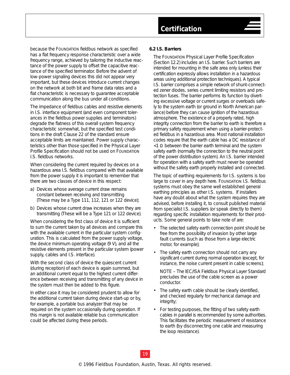<span id="page-20-0"></span>because the FOUNDATION fieldbus network as specified has a flat frequency response characteristic over a wide frequency range, achieved by tailoring the inductive reactance of the power supply to offset the capacitive reactance of the specified terminator. Before the advent of low-power signaling devices this did not appear very important, but these devices introduce current changes on the network at both bit and frame data rates and a flat characteristic is necessary to guarantee acceptable communication along the bus under all conditions.

The impedance of fieldbus cables and resistive elements in I.S. interface equipment (and even component tolerances in the fieldbus power supplies and terminators) degrade the flatness of this overall system frequency characteristic somewhat, but the specified test conditions in the draft Clause 22 of the standard ensure acceptable limits are maintained. Power supply characteristics other than those specified in the Physical Layer Profile Specification should not be used on FOUNDATION I.S. fieldbus networks.

When considering the current required by devices on a hazardous area I.S. fieldbus compared with that available from the power supply it is important to remember that there are two classes of device in this respect:

- a) Devices whose average current draw remains constant between receiving and transmitting (These may be a Type 111, 112, 121 or 122 device);
- b) Devices whose current draw increases when they are transmitting (These will be a Type 121 or 122 device).

When considering the first class of device it is sufficient to sum the current taken by all devices and compare this with the available current in the particular system configuration. This is calculated from the power supply voltage, the device minimum operating voltage (9 V), and all the resistive elements present in the particular system (power supply, cables and I.S. interface).

With the second class of device the quiescent current (during reception) of each device is again summed, but an additional current equal to the highest current difference between receiving and transmitting of any device in the system must then be added to this figure.

In either case it may be considered prudent to allow for the additional current taken during device start-up or by, for example, a portable bus analyzer that may be required on the system occasionally during operation. If this margin is not available reliable bus communication could be affected during these periods.

### *6.2 I.S. Barriers*

The FOUNDATION Physical Layer Profile Specification (Section 12.2) includes an I.S. barrier. Such barriers are intended for mounting in the safe area only (unless their certification expressly allows installation in a hazardous areas using additional protection techniques). A typical I.S. barrier comprises a simple network of shunt-connected zener diodes, series current limiting resistors and protection fuses. The barrier performs its function by diverting excessive voltage or current surges or overloads safely to the system earth (or *ground* in North American parlance) before they can cause ignition of the hazardous atmosphere. The existence of a properly rated, high integrity connection from the barrier to earth is therefore a primary safety requirement when using a barrier-protected fieldbus in a hazardous area. Most national installation codes require that the earth cable has a DC resistance of <1 between the barrier earth terminal and the system safety earth (normally the connection to the neutral point of the power distribution system). An I.S. barrier intended for operation with a safety earth must never be operated without the safety earth properly installed and connected.

The topic of earthing requirements for I.S. systems is too large to cover in any depth here. FOUNDATION I.S. fieldbus systems must obey the same well established general earthing principles as other I.S. systems. If installers have any doubt about what the system requires they are advised, before installing it, to consult published material from specialist I.S. suppliers (or speak directly to them) regarding specific installation requirements for their products. Some general points to take note of are:

- The selected safety earth connection point should be free from the possibility of invasion by other large fault currents (such as those from a large electric motor, for example);
- The safety earth connection should not carry any significant current during normal operation (except, for instance, the noise current present in cable screens);

NOTE – The IEC/ISA Fieldbus Physical Layer Standard precludes the use of the cable screen as a power conductor.

- The safety earth cable should be clearly identified, and checked regularly for mechanical damage and integrity;
- For testing purposes, the fitting of two safety earth cables in parallel is recommended by some authorities. This facilitates the periodic measurement of resistance to earth (by disconnecting one cable and measuring the loop resistance).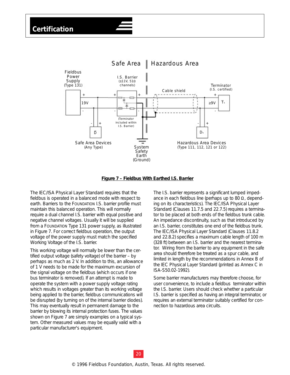



The IEC/ISA Physical Layer Standard requires that the fieldbus is operated in a balanced mode with respect to earth. Barriers to the FOUNDATION I.S. barrier profile must maintain this balanced operation. This will normally require a dual channel I.S. barrier with equal positive and negative channel voltages. Usually it will be supplied from a FOUNDATION *Type 131* power supply, as illustrated in Figure 7. For correct fieldbus operation, the output voltage of the power supply must match the specified *Working Voltage* of the I.S. barrier.

This working voltage will normally be lower than the certified output voltage (*safety voltage*) of the barrier – by perhaps as much as 2 V. In addition to this, an allowance of 1 V needs to be made for the maximum excursion of the signal voltage on the fieldbus (which occurs if one bus terminator is removed). If an attempt is made to operate the system with a power supply voltage rating which results in voltages greater than its working voltage being applied to the barrier, fieldbus communications will be disrupted (by turning on of the internal barrier diodes). This may eventually result in permanent damage to the barrier by blowing its internal protection fuses. The values shown on Figure 7 are simply examples on a typical system. Other measured values may be equally valid with a particular manufacturer's equipment.

The I.S. barrier represents a significant lumped impedance in each fieldbus line (perhaps up to 80 , depending on its characteristics). The IEC/ISA Physical Layer Standard (Clauses 11.7.5 and 22.7.5) requires a terminator to be placed at both ends of the fieldbus trunk cable. An impedance discontinuity, such as that introduced by an I.S. barrier, constitutes one end of the fieldbus trunk. The IEC/ISA Physical Layer Standard (Clauses 11.8.2 and 22.8.2) specifies a maximum cable length of 100 m (328 ft) between an I.S. barrier and the nearest terminator. Wiring from the barrier to any equipment in the safe area should therefore be treated as a spur cable, and limited in length by the recommendations in Annex B of the IEC Physical Layer Standard (printed as Annex C in ISA-S50.02-1992).

Some barrier manufacturers may therefore choose, for user convenience, to include a fieldbus terminator within the I.S. barrier. Users should check whether a particular I.S. barrier is specified as having an integral terminator, or requires an external terminator suitably certified for connection to hazardous area circuits.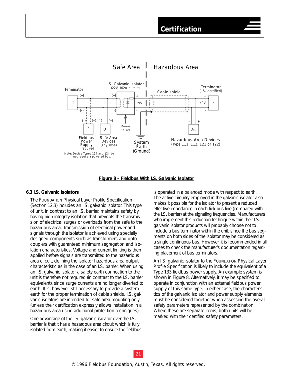<span id="page-22-0"></span>

### **Figure 8 – Fieldbus With I.S. Galvanic Isolator**

### *6.3 I.S. Galvanic Isolators*

The FOUNDATION Physical Layer Profile Specification (Section 12.3) includes an I.S. galvanic isolator. This type of unit, in contrast to an I.S. barrier, maintains safety by having high integrity isolation that prevents the transmission of electrical surges or overloads from the safe to the hazardous area. Transmission of electrical power and signals through the isolator is achieved using specially designed components such as transformers and optocouplers with guaranteed minimum segregation and isolation characteristics. Voltage and current limiting is then applied before signals are transmitted to the hazardous area circuit, defining the isolator hazardous area output characteristic as in the case of an I.S. barrier. When using an I.S. galvanic isolator a safety earth connection to the unit is therefore not required (in contrast to the I.S. barrier equivalent), since surge currents are no longer diverted to earth. It is, however, still necessary to provide a system earth for the proper termination of cable shields. I.S. galvanic isolators are intended for safe area mounting only (unless their certification expressly allows installation in a hazardous area using additional protection techniques).

One advantage of the I.S. galvanic isolator over the I.S. barrier is that it has a hazardous area circuit which is fully isolated from earth, making it easier to ensure the fieldbus is operated in a balanced mode with respect to earth. The active circuitry employed in the galvanic isolator also makes it possible for the isolator to present a reduced effective impedance in each fieldbus line (compared with the I.S. barrier) at the signaling frequencies. Manufacturers who implement this reduction technique within their I.S. galvanic isolator products will probably choose not to include a bus terminator within the unit, since the bus segments on both sides of the isolator may be considered as a single continuous bus. However, it is recommended in all cases to check the manufacturer's documentation regarding placement of bus terminators.

An I.S. galvanic isolator to the FOUNDATION Physical Layer Profile Specification is likely to include the equivalent of a *Type 133* fieldbus power supply. An example system is shown in Figure 8. Alternatively, it may be specified to operate in conjunction with an external fieldbus power supply of this same type. In either case, the characteristics of the galvanic isolator and power supply elements must be considered together when assessing the overall safety parameters represented by the combination. Where these are separate items, both units will be marked with their certified safety parameters.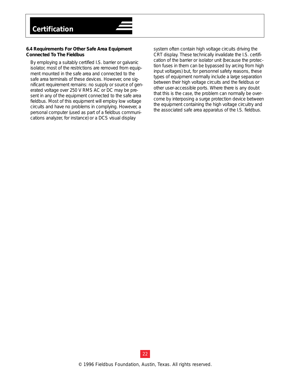### <span id="page-23-0"></span>*6.4 Requirements For Other Safe Area Equipment Connected To The Fieldbus*

By employing a suitably certified I.S. barrier or galvanic isolator, most of the restrictions are removed from equipment mounted in the safe area and connected to the safe area terminals of these devices. However, one significant requirement remains: no supply or source of generated voltage over 250 V RMS AC or DC may be present in any of the equipment connected to the safe area fieldbus. Most of this equipment will employ low voltage circuits and have no problems in complying. However, a personal computer (used as part of a fieldbus communications analyzer, for instance) or a DCS visual display

system often contain high voltage circuits driving the CRT display. These technically invalidate the I.S. certification of the barrier or isolator unit (because the protection fuses in them can be bypassed by arcing from high input voltages) but, for personnel safety reasons, these types of equipment normally include a large separation between their high voltage circuits and the fieldbus or other user-accessible ports. Where there is any doubt that this is the case, the problem can normally be overcome by interposing a surge protection device between the equipment containing the high voltage circuitry and the associated safe area apparatus of the I.S. fieldbus.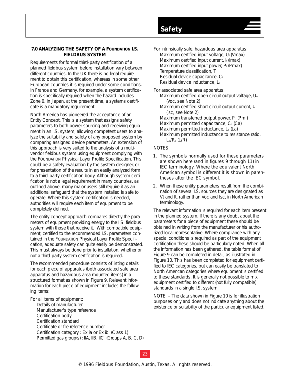### <span id="page-24-0"></span>**7.0 ANALYZING THE SAFETY OF A FOUNDATION I.S. FIELDBUS SYSTEM**

Requirements for formal third-party certification of a planned fieldbus system before installation vary between different countries. In the UK there is no legal requirement to obtain this certification, whereas in some other European countries it is required under some conditions. In France and Germany, for example, a system certification is specifically required when the hazard includes Zone 0. In Japan, at the present time, a systems certificate is a mandatory requirement.

North America has pioneered the acceptance of an *Entity Concept*. This is a system that assigns safety parameters to both power sourcing and receiving equipment in an I.S. system, allowing competent users to analyze the suitability and safety of any proposed system by comparing assigned device parameters. An extension of this approach is very suited to the analysis of a multivendor fieldbus system using equipment complying with the FOUNDATION Physical Layer Profile Specification. This could be a safety evaluation by the system designer, or for presentation of the results in an easily analyzed form to a third-party certification body. Although system certification is not a legal requirement in many countries, as outlined above, many major users still require it as an additional safeguard that the system installed is safe to operate. Where this system certification is needed, authorities will require each item of equipment to be completely defined.

The entity concept approach compares directly the parameters of equipment providing energy to the I.S. fieldbus system with those that receive it. With compatible equipment, certified to the recommended I.S. parameters contained in the FOUNDATION Physical Layer Profile Specification, adequate safety can quite easily be demonstrated. This must always be done prior to installation, whether or not a third-party system certification is required.

The recommended procedure consists of listing details for each piece of apparatus (both associated safe area apparatus and hazardous area mounted items) in a structured format as shown in Figure 9. Relevant information for each piece of equipment includes the following items:

### For all items of equipment:

Details of manufacturer Manufacturer's type reference Certification body Certification standard Certificate or file reference number Certification category : Ex ia or Ex ib (Class 1) Permitted gas group(s) : IIA, IIB, IIC (Groups A, B, C, D) For intrinsically safe, hazardous area apparatus: Maximum certified input voltage, Ui (Vmax) Maximum certified input current, I (Imax) Maximum certified input power, Pi (Pmax) Temperature classification, T Residual device capacitance, Ci Residual device inductance, Li

For associated safe area apparatus: Maximum certified open circuit output voltage, U. (Voc, see Note 2) Maximum certified short circuit output current, Io (Isc, see Note 2) Maximum transferred output power, P<sub>o</sub> (Pm) Maximum permitted capacitance,  $C<sub>o</sub>$  (Ca) Maximum permitted inductance, L. (La) Maximum permitted inductance to resistance ratio,  $L_0/R_0$  ( $L/R$ )

### NOTES

**Safety**

- 1. The symbols normally used for these parameters are shown here (and in figures 9 through 11) in IEC terminology. Where the equivalent North American symbol is different it is shown in parentheses after the IEC symbol.
- 2. When these entity parameters result from the combination of several I.S. sources they are designated as Vt and It, rather than Voc and Isc, in North American terminology.

The relevant information is required for each item present in the planned system. If there is any doubt about the parameters for a piece of equipment these should be obtained in writing from the manufacturer or his authorized local representative. Where compliance with any special conditions is required as part of the equipment certification these should be particularly noted. When all the information has been gathered, the table format of Figure 9 can be completed in detail, as illustrated in Figure 10. This has been completed for equipment certified to IEC categories, but can easily be translated to North American categories where equipment is certified to these standards. It is generally not possible to mix equipment certified to different (not fully compatible) standards in a single I.S. system.

NOTE – The data shown in Figure 10 is for illustration purposes only and does not indicate anything about the existence or suitability of the particular equipment listed.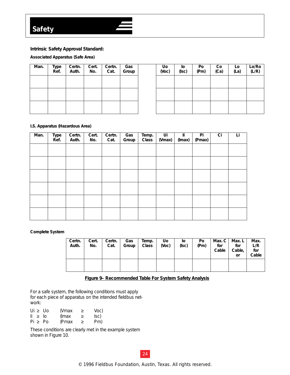### **Intrinsic Safety Approval Standard:**

### **Associated Apparatus (Safe Area)**

| Man. | Type<br>Ref. | Certn.<br>Auth. | Cert.<br>No. | Certn.<br>Cat. | Gas<br>Group |
|------|--------------|-----------------|--------------|----------------|--------------|
|      |              |                 |              |                |              |
|      |              |                 |              |                |              |
|      |              |                 |              |                |              |

| Uo<br>(Voc) | lo<br>(Isc) | Po<br>(Pm) | Co<br>(Ca) | Lo<br>(La) | Lo/Ro<br>(L/R) |
|-------------|-------------|------------|------------|------------|----------------|
|             |             |            |            |            |                |
|             |             |            |            |            |                |
|             |             |            |            |            |                |

### **I.S. Apparatus (Hazardous Area)**

| Man. | Type<br>Ref. | Certn.<br>Auth. | Cert.<br>No. | Certn.<br>Cat. | Gas<br>Group | Temp.<br>Class | Ui<br>(Vmax) | li<br>(Imax) | Pi<br>(Pmax) | Ci | Li |
|------|--------------|-----------------|--------------|----------------|--------------|----------------|--------------|--------------|--------------|----|----|
|      |              |                 |              |                |              |                |              |              |              |    |    |
|      |              |                 |              |                |              |                |              |              |              |    |    |
|      |              |                 |              |                |              |                |              |              |              |    |    |
|      |              |                 |              |                |              |                |              |              |              |    |    |
|      |              |                 |              |                |              |                |              |              |              |    |    |
|      |              |                 |              |                |              |                |              |              |              |    |    |

### **Complete System**

| Certn.<br>Auth. | Cert.<br>No. | Certn.<br>Cat. | Gas<br>Group | Temp.<br><b>Class</b> | <b>Uo</b><br>(Voc) | IО<br>(Isc) | Po<br>(Pm) | for<br>Cable | Max. $C \mid$ Max. L $\mid$<br>for<br>Cable,<br><b>or</b> | Max.<br>L/R<br>for<br>Cable |
|-----------------|--------------|----------------|--------------|-----------------------|--------------------|-------------|------------|--------------|-----------------------------------------------------------|-----------------------------|
|                 |              |                |              |                       |                    |             |            |              |                                                           |                             |

### **Figure 9– Recommended Table For System Safety Analysis**

For a safe system, the following conditions must apply for each piece of apparatus on the intended fieldbus network:

| Ui | Uo | (Vmax  | Voc) |
|----|----|--------|------|
| Ιi | lО | (Imax) | lsc) |
| Pi | Po | (Pmax  | Pm)  |

These conditions are clearly met in the example system shown in Figure 10.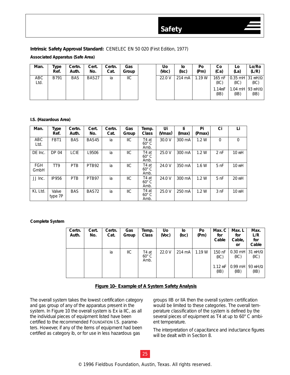### **Intrinsic Safety Approval Standard:** CENELEC EN 50 020 (First Edition, 1977)

### **Associated Apparatus (Safe Area)**

| Man.        | Type<br>Ref. | Certn.<br>Auth. | Cert.<br>No. | Certn.<br>Cat. | Gas<br>Group | Uo<br>(Voc) | ΙO<br>(Isc) | Po<br>(Pm) | Co<br>(Ca)      | LO<br>(La)                                 | Lo/Ro<br>(L/R) |
|-------------|--------------|-----------------|--------------|----------------|--------------|-------------|-------------|------------|-----------------|--------------------------------------------|----------------|
| ABC<br>Ltd. | B791         | <b>BAS</b>      | BAS27        | ia             | <b>IIC</b>   | 22.0 V      | 214 mA      | .19 W      | 165 nF<br>(IC)  | 10.35 mH131 mH/<br>(IIC)                   | (IC)           |
|             |              |                 |              |                |              |             |             |            | 1.14mF<br>(IIB) | 1.04 mH $\frac{93 \text{ mH}}{ }$<br>(IIB) | (IB)           |

### **I.S. (Hazardous Area)**

| Man.               | Type<br>Ref.     | Certn.<br>Auth. | Cert.<br>No. | Certn.<br>Cat. | Gas<br>Group   | Temp.<br><b>Class</b>         | Ui<br>(Vmax) | li.<br>(Imax) | Pi<br>(Pmax) | Ci              | Li               |
|--------------------|------------------|-----------------|--------------|----------------|----------------|-------------------------------|--------------|---------------|--------------|-----------------|------------------|
| <b>ABC</b><br>Ltd. | FBT1             | <b>BAS</b>      | BAS45        | ia             | IIС            | T4 at<br>$60^\circ$ C<br>Amb. | 30.0 V       | 300 mA        | 1.2W         | $\Omega$        | 0                |
| DE Inc.            | DP 04            | <b>LCIE</b>     | L9506        | ia             | IIC            | T4 at<br>$60^\circ$ C<br>Amb. | 25.0 V       | 300 mA        | 1.2W         | 2nF             | $10 \text{ mH}$  |
| <b>FGH</b><br>GmbH | TT <sub>9</sub>  | <b>PTB</b>      | PTB92        | ia             | ШC             | T4 at<br>$60^\circ$ C<br>Amb. | 24.0 V       | 350 mA        | 1.6W         | $5h$ F          | 10 <sub>mH</sub> |
| JJ Inc.            | IP956            | <b>PTB</b>      | PTB97        | ia             | $\mathsf{IIC}$ | T4 at<br>$60^\circ$ C<br>Amb. | 24.0 V       | 300 mA        | 1.2W         | 5 <sub>nF</sub> | $20 \text{ mH}$  |
| KL Ltd.            | Valve<br>type 7P | <b>BAS</b>      | BAS72        | ia             | $II$           | T4 at<br>$60^\circ$ C<br>Amb. | 25.0 V       | 250 mA        | 1.2W         | 3nF             | 10 <sub>mH</sub> |

### **Complete System**

| Certn.<br>Auth. | Cert.<br>No. | Certn.<br>Cat. | Gas<br>Group | Temp.<br>Class                | Uo<br>(Voc) | lo<br>(Isc) | Po<br>(Pm) | Max. C<br>for<br>Cable | Max. L<br>for<br>Cable,<br>or                | Max.<br>L/R<br>for<br>Cable |
|-----------------|--------------|----------------|--------------|-------------------------------|-------------|-------------|------------|------------------------|----------------------------------------------|-----------------------------|
|                 |              | ia             | IIС          | T4 at<br>$60^\circ$ C<br>Amb. | 22.0V       | 214 mA      | 1.19W      | 150 nF<br>(IC)         | (IC)                                         | (IIC)                       |
|                 |              |                |              |                               |             |             |            | (IB)                   | $1.12 \text{ mF}$   0.99 mH   93 mH/<br>(IB) | (IB)                        |

### **Figure 10– Example of A System Safety Analysis**

The overall system takes the lowest certification category and gas group of any of the apparatus present in the system. In Figure 10 the overall system is Ex ia IIC, as all the individual pieces of equipment listed have been certified to the recommended FOUNDATION I.S. parameters. However, if any of the items of equipment had been certified as category ib, or for use in less hazardous gas

groups IIB or IIA then the overall system certification would be limited to these categories. The overall temperature classification of the system is defined by the several pieces of equipment as T4 at up to 60° C ambient temperature.

The interpretation of capacitance and inductance figures will be dealt with in Section 8.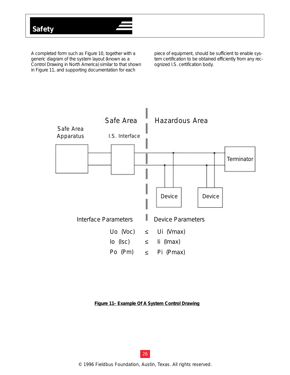A completed form such as Figure 10, together with a generic diagram of the system layout (known as a *Control Drawing* in North America) similar to that shown in Figure 11, and supporting documentation for each

piece of equipment, should be sufficient to enable system certification to be obtained efficiently from any recognized I.S. certification body.



### **Figure 11– Example Of A System Control Drawing**